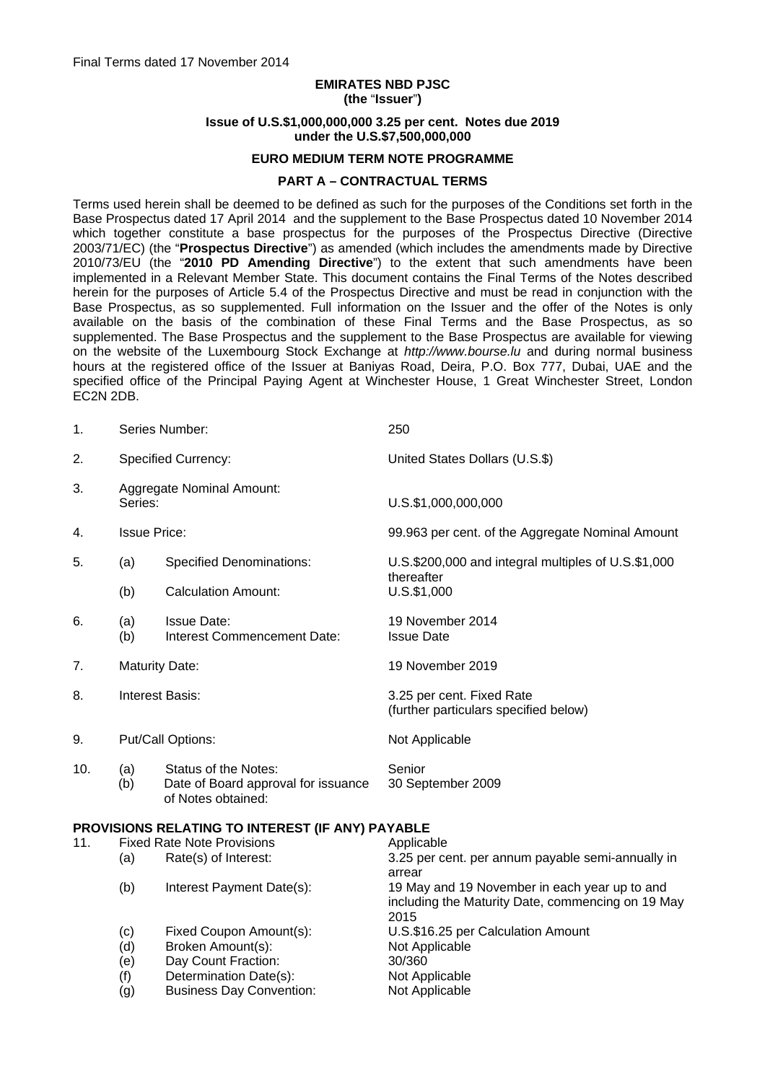# **EMIRATES NBD PJSC**

**(the** "**Issuer**"**)** 

#### **Issue of U.S.\$1,000,000,000 3.25 per cent. Notes due 2019 under the U.S.\$7,500,000,000**

#### **EURO MEDIUM TERM NOTE PROGRAMME**

#### **PART A – CONTRACTUAL TERMS**

Terms used herein shall be deemed to be defined as such for the purposes of the Conditions set forth in the Base Prospectus dated 17 April 2014 and the supplement to the Base Prospectus dated 10 November 2014 which together constitute a base prospectus for the purposes of the Prospectus Directive (Directive 2003/71/EC) (the "**Prospectus Directive**") as amended (which includes the amendments made by Directive 2010/73/EU (the "**2010 PD Amending Directive**") to the extent that such amendments have been implemented in a Relevant Member State. This document contains the Final Terms of the Notes described herein for the purposes of Article 5.4 of the Prospectus Directive and must be read in conjunction with the Base Prospectus, as so supplemented. Full information on the Issuer and the offer of the Notes is only available on the basis of the combination of these Final Terms and the Base Prospectus, as so supplemented. The Base Prospectus and the supplement to the Base Prospectus are available for viewing on the website of the Luxembourg Stock Exchange at *http://www.bourse.lu* and during normal business hours at the registered office of the Issuer at Baniyas Road, Deira, P.O. Box 777, Dubai, UAE and the specified office of the Principal Paying Agent at Winchester House, 1 Great Winchester Street, London EC2N 2DB.

| 1.                                               | Series Number:                                                   |                                                                                          | 250                                                                                                                  |  |  |  |  |
|--------------------------------------------------|------------------------------------------------------------------|------------------------------------------------------------------------------------------|----------------------------------------------------------------------------------------------------------------------|--|--|--|--|
| 2.                                               | <b>Specified Currency:</b>                                       |                                                                                          | United States Dollars (U.S.\$)                                                                                       |  |  |  |  |
| 3.                                               | Aggregate Nominal Amount:<br>Series:                             |                                                                                          | U.S.\$1,000,000,000                                                                                                  |  |  |  |  |
| 4.                                               | <b>Issue Price:</b>                                              |                                                                                          | 99.963 per cent. of the Aggregate Nominal Amount                                                                     |  |  |  |  |
| 5.                                               | (a)                                                              | <b>Specified Denominations:</b>                                                          | U.S.\$200,000 and integral multiples of U.S.\$1,000<br>thereafter<br>U.S.\$1,000                                     |  |  |  |  |
|                                                  | (b)                                                              | <b>Calculation Amount:</b>                                                               |                                                                                                                      |  |  |  |  |
| 6.                                               | (a)<br>(b)                                                       | <b>Issue Date:</b><br>Interest Commencement Date:                                        | 19 November 2014<br><b>Issue Date</b>                                                                                |  |  |  |  |
| 7.                                               | <b>Maturity Date:</b>                                            |                                                                                          | 19 November 2019                                                                                                     |  |  |  |  |
| 8.                                               | <b>Interest Basis:</b>                                           |                                                                                          | 3.25 per cent. Fixed Rate<br>(further particulars specified below)                                                   |  |  |  |  |
| 9.                                               | Put/Call Options:                                                |                                                                                          | Not Applicable                                                                                                       |  |  |  |  |
| 10.                                              | (a)<br>(b)                                                       | <b>Status of the Notes:</b><br>Date of Board approval for issuance<br>of Notes obtained: | Senior<br>30 September 2009                                                                                          |  |  |  |  |
| PROVISIONS RELATING TO INTEREST (IF ANY) PAYABLE |                                                                  |                                                                                          |                                                                                                                      |  |  |  |  |
| 11.                                              | <b>Fixed Rate Note Provisions</b><br>Rate(s) of Interest:<br>(a) |                                                                                          | Applicable<br>3.25 per cent. per annum payable semi-annually in                                                      |  |  |  |  |
|                                                  | (b)                                                              | Interest Payment Date(s):                                                                | arrear<br>19 May and 19 November in each year up to and<br>including the Maturity Date, commencing on 19 May<br>2015 |  |  |  |  |
|                                                  | (c)                                                              | Fixed Coupon Amount(s):                                                                  | U.S.\$16.25 per Calculation Amount                                                                                   |  |  |  |  |

- (d) Broken Amount(s): Not Applicable
- (e) Day Count Fraction: 30/360
- (f) Determination Date(s): Not Applicable
- (g) Business Day Convention: Not Applicable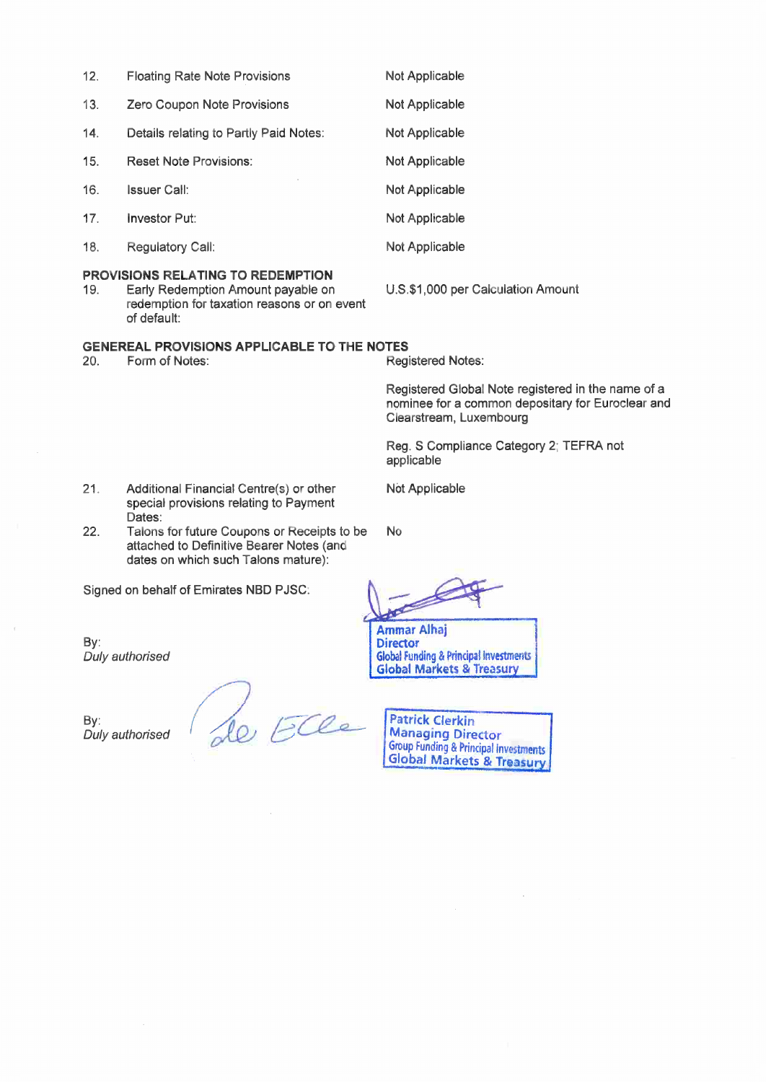| BBAVIOLANIA BEL A |                                        |                |  |  |
|-------------------|----------------------------------------|----------------|--|--|
| 18.               | Regulatory Call:                       | Not Applicable |  |  |
| 17.               | Investor Put:                          | Not Applicable |  |  |
| 16.               | <b>Issuer Call:</b>                    | Not Applicable |  |  |
| 15.               | <b>Reset Note Provisions:</b>          | Not Applicable |  |  |
| 14.               | Details relating to Partly Paid Notes: | Not Applicable |  |  |
| 13.               | Zero Coupon Note Provisions            | Not Applicable |  |  |
| 12.               | <b>Floating Rate Note Provisions</b>   | Not Applicable |  |  |

- PROVISIONS RELATING TO REDEMPTION 19.
- Early Redemption Amount payable on redemption for taxation reasons or on event of default:

U.S.\$1,000 per Calculation Amount

- **GENEREAL PROVISIONS APPLICABLE TO THE NOTES**
- $20.$ Form of Notes:

**Registered Notes:** 

Registered Global Note registered in the name of a nominee for a common depositary for Euroclear and Clearstream, Luxembourg

Reg. S Compliance Category 2; TEFRA not applicable

- $21.$ Additional Financial Centre(s) or other special provisions relating to Payment Dates:
- 22. Talons for future Coupons or Receipts to be attached to Definitive Bearer Notes (and dates on which such Talons mature):

Signed on behalf of Emirates NBD PJSC:

Not Applicable

**No** 

**Ammar Alhaj Director Global Funding & Principal Investments Global Markets & Treasury** 

By: Duly authorised

Duly authorised

By:

Po, Elle

**Patrick Clerkin Patrick Clerkin**<br>Managing Director<br>Group Funding & Principal investments<br>Global Markets & Treasury